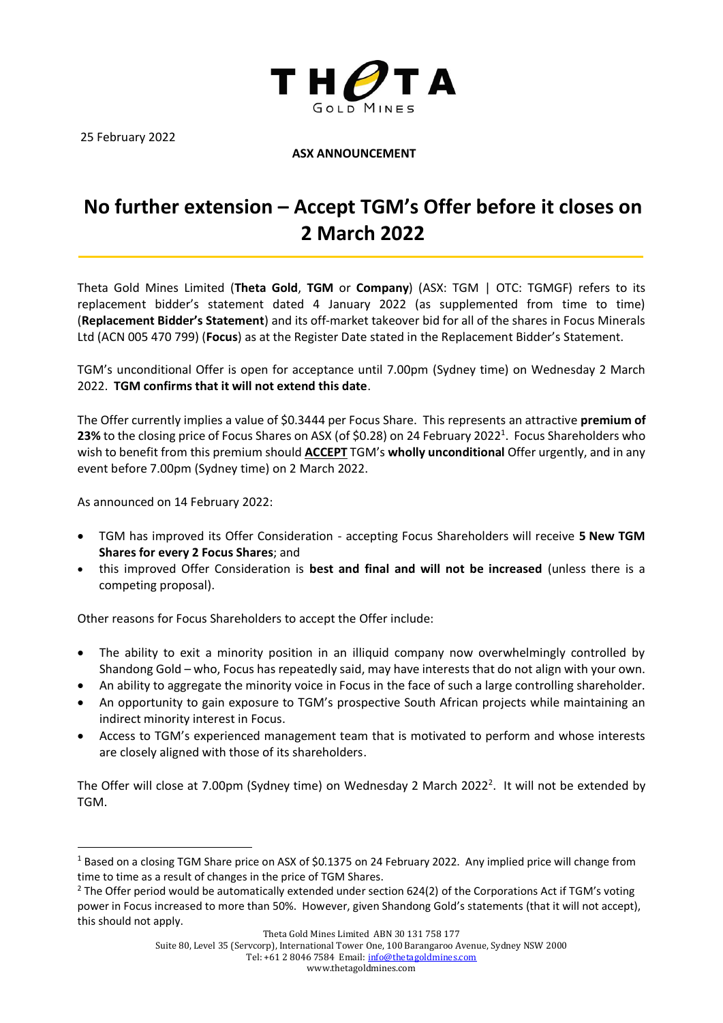

25 February 2022

## **ASX ANNOUNCEMENT**

## **No further extension – Accept TGM's Offer before it closes on 2 March 2022**

Theta Gold Mines Limited (**Theta Gold**, **TGM** or **Company**) (ASX: TGM | OTC: TGMGF) refers to its replacement bidder's statement dated 4 January 2022 (as supplemented from time to time) (**Replacement Bidder's Statement**) and its off-market takeover bid for all of the shares in Focus Minerals Ltd (ACN 005 470 799) (**Focus**) as at the Register Date stated in the Replacement Bidder's Statement.

TGM's unconditional Offer is open for acceptance until 7.00pm (Sydney time) on Wednesday 2 March 2022. **TGM confirms that it will not extend this date**.

The Offer currently implies a value of \$0.3444 per Focus Share. This represents an attractive **premium of**  23% to the closing price of Focus Shares on ASX (of \$0.28) on 24 February 2022<sup>1</sup>. Focus Shareholders who wish to benefit from this premium should **ACCEPT** TGM's **wholly unconditional** Offer urgently, and in any event before 7.00pm (Sydney time) on 2 March 2022.

As announced on 14 February 2022:

- TGM has improved its Offer Consideration accepting Focus Shareholders will receive **5 New TGM Shares for every 2 Focus Shares**; and
- this improved Offer Consideration is **best and final and will not be increased** (unless there is a competing proposal).

Other reasons for Focus Shareholders to accept the Offer include:

- The ability to exit a minority position in an illiquid company now overwhelmingly controlled by Shandong Gold – who, Focus has repeatedly said, may have interests that do not align with your own.
- An ability to aggregate the minority voice in Focus in the face of such a large controlling shareholder.
- An opportunity to gain exposure to TGM's prospective South African projects while maintaining an indirect minority interest in Focus.
- Access to TGM's experienced management team that is motivated to perform and whose interests are closely aligned with those of its shareholders.

The Offer will close at 7.00pm (Sydney time) on Wednesday 2 March 2022<sup>2</sup>. It will not be extended by TGM.

Tel: +61 2 8046 7584 Email[: info@thetagoldmines.com](mailto:info@thetagoldmines.com)

<sup>&</sup>lt;sup>1</sup> Based on a closing TGM Share price on ASX of \$0.1375 on 24 February 2022. Any implied price will change from time to time as a result of changes in the price of TGM Shares.

 $2$  The Offer period would be automatically extended under section 624(2) of the Corporations Act if TGM's voting power in Focus increased to more than 50%. However, given Shandong Gold's statements (that it will not accept), this should not apply.